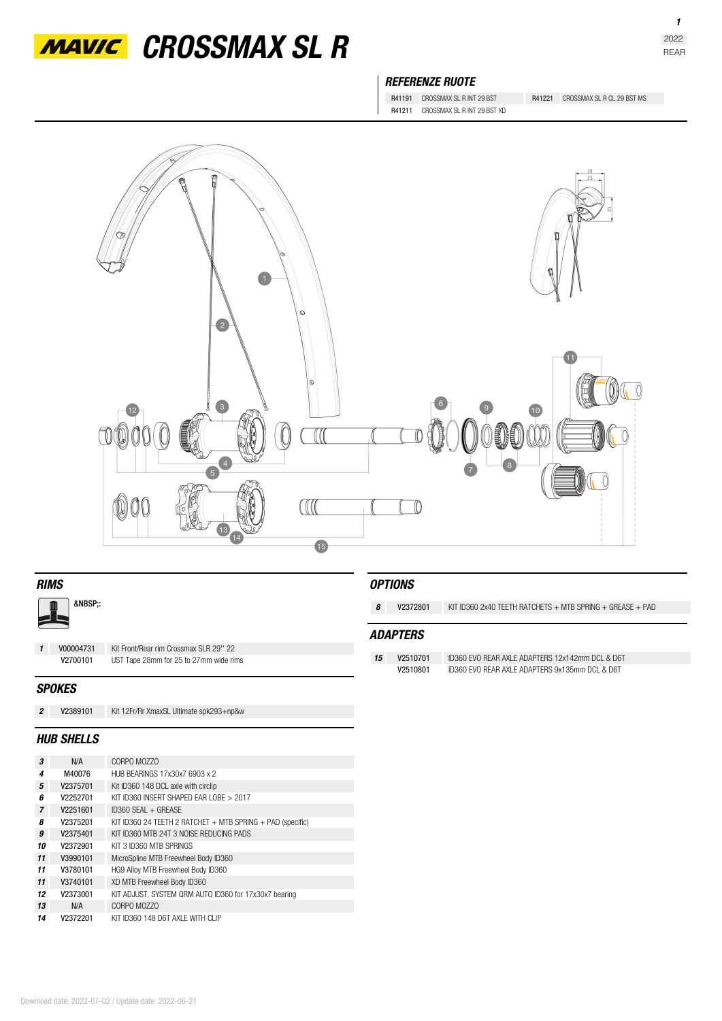

*MAVIC* CROSSMAX SL R

## *REFERENZE RUOTE*

R41211 CROSSMAX SL R INT 29 BST XD

R41191 CROSSMAX SL R INT 29 BST R41221 CROSSMAX SL R CL 29 BST MS



| <b>RIMS</b>    |                   |                                         |    | <b>OPTIONS</b>  |                                                                 |  |  |
|----------------|-------------------|-----------------------------------------|----|-----------------|-----------------------------------------------------------------|--|--|
| &NBSP::        |                   |                                         | 8  | V2372801        | KIT ID360 2x40 TEETH RATCHETS $+$ MTB SPRING $+$ GREASE $+$ PAD |  |  |
|                |                   |                                         |    | <b>ADAPTERS</b> |                                                                 |  |  |
| $\mathbf{1}$   | V00004731         | Kit Front/Rear rim Crossmax SLR 29" 22  |    |                 |                                                                 |  |  |
|                | V2700101          | UST Tape 28mm for 25 to 27mm wide rims  | 15 | V2510701        | ID360 EVO REAR AXLE ADAPTERS 12x142mm DCL & D6T                 |  |  |
|                |                   |                                         |    | V2510801        | ID360 FVO REAR AXI E ADAPTERS 9x135mm DCL & D6T                 |  |  |
|                | <b>SPOKES</b>     |                                         |    |                 |                                                                 |  |  |
| $\overline{2}$ | V2389101          | Kit 12Fr/Rr XmaxSL Ultimate spk293+np&w |    |                 |                                                                 |  |  |
|                | <b>HUB SHELLS</b> |                                         |    |                 |                                                                 |  |  |

| 3              | N/A      | CORPO MOZZO                                                    |
|----------------|----------|----------------------------------------------------------------|
| 4              | M40076   | HUB BEARINGS 17x30x7 6903 x 2                                  |
| 5              | V2375701 | Kit ID360 148 DCL axle with circlip                            |
| 6              | V2252701 | KIT ID360 INSERT SHAPED FAR LOBE > 2017                        |
| $\overline{7}$ | V2251601 | $ID360$ SFAI + GREASE                                          |
| 8              | V2375201 | KIT ID360 24 TEETH 2 RATCHET $+$ MTB SPRING $+$ PAD (specific) |
| 9              | V2375401 | KIT ID360 MTB 24T 3 NOISE REDUCING PADS                        |
| 10             | V2372901 | KIT 3 ID360 MTB SPRINGS                                        |
| 11             | V3990101 | MicroSpline MTB Freewheel Body ID360                           |
| 11             | V3780101 | HG9 Alloy MTB Freewheel Body ID360                             |
| 11             | V3740101 | XD MTB Freewheel Body ID360                                    |
| 12             | V2373001 | KIT ADJUST. SYSTEM QRM AUTO ID360 for 17x30x7 bearing          |
| 13             | N/A      | CORPO MO770                                                    |
| 14             | V2372201 | KIT ID360 148 D6T AXI F WITH CLIP                              |